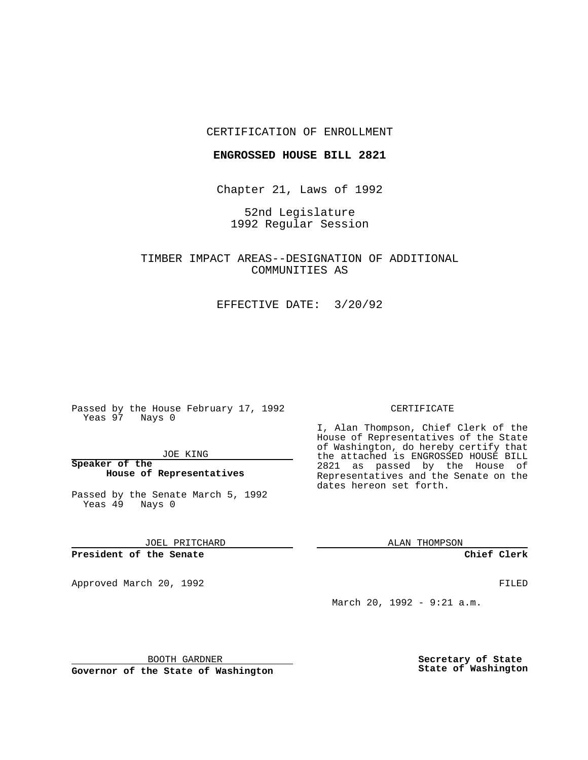# CERTIFICATION OF ENROLLMENT

### **ENGROSSED HOUSE BILL 2821**

Chapter 21, Laws of 1992

52nd Legislature 1992 Regular Session

TIMBER IMPACT AREAS--DESIGNATION OF ADDITIONAL COMMUNITIES AS

EFFECTIVE DATE: 3/20/92

Passed by the House February 17, 1992 Yeas 97 Nays 0

JOE KING

**Speaker of the House of Representatives**

Passed by the Senate March 5, 1992 Yeas 49 Nays 0

JOEL PRITCHARD

**President of the Senate**

Approved March 20, 1992 **FILED** 

#### CERTIFICATE

I, Alan Thompson, Chief Clerk of the House of Representatives of the State of Washington, do hereby certify that the attached is ENGROSSED HOUSE BILL<br>the attached is ENGROSSED HOUSE BILL 2821 as passed by the House of Representatives and the Senate on the dates hereon set forth.

ALAN THOMPSON

**Chief Clerk**

March 20, 1992 - 9:21 a.m.

BOOTH GARDNER

**Governor of the State of Washington**

**Secretary of State State of Washington**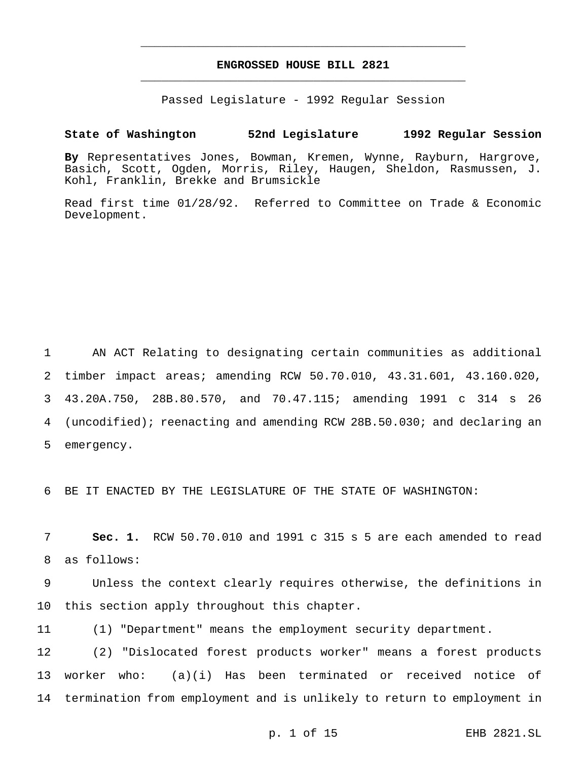# **ENGROSSED HOUSE BILL 2821** \_\_\_\_\_\_\_\_\_\_\_\_\_\_\_\_\_\_\_\_\_\_\_\_\_\_\_\_\_\_\_\_\_\_\_\_\_\_\_\_\_\_\_\_\_\_\_

\_\_\_\_\_\_\_\_\_\_\_\_\_\_\_\_\_\_\_\_\_\_\_\_\_\_\_\_\_\_\_\_\_\_\_\_\_\_\_\_\_\_\_\_\_\_\_

Passed Legislature - 1992 Regular Session

# **State of Washington 52nd Legislature 1992 Regular Session**

**By** Representatives Jones, Bowman, Kremen, Wynne, Rayburn, Hargrove, Basich, Scott, Ogden, Morris, Riley, Haugen, Sheldon, Rasmussen, J. Kohl, Franklin, Brekke and Brumsickle

Read first time 01/28/92. Referred to Committee on Trade & Economic Development.

 AN ACT Relating to designating certain communities as additional timber impact areas; amending RCW 50.70.010, 43.31.601, 43.160.020, 43.20A.750, 28B.80.570, and 70.47.115; amending 1991 c 314 s 26 (uncodified); reenacting and amending RCW 28B.50.030; and declaring an emergency.

6 BE IT ENACTED BY THE LEGISLATURE OF THE STATE OF WASHINGTON:

7 **Sec. 1.** RCW 50.70.010 and 1991 c 315 s 5 are each amended to read 8 as follows:

9 Unless the context clearly requires otherwise, the definitions in 10 this section apply throughout this chapter.

11 (1) "Department" means the employment security department.

12 (2) "Dislocated forest products worker" means a forest products 13 worker who: (a)(i) Has been terminated or received notice of 14 termination from employment and is unlikely to return to employment in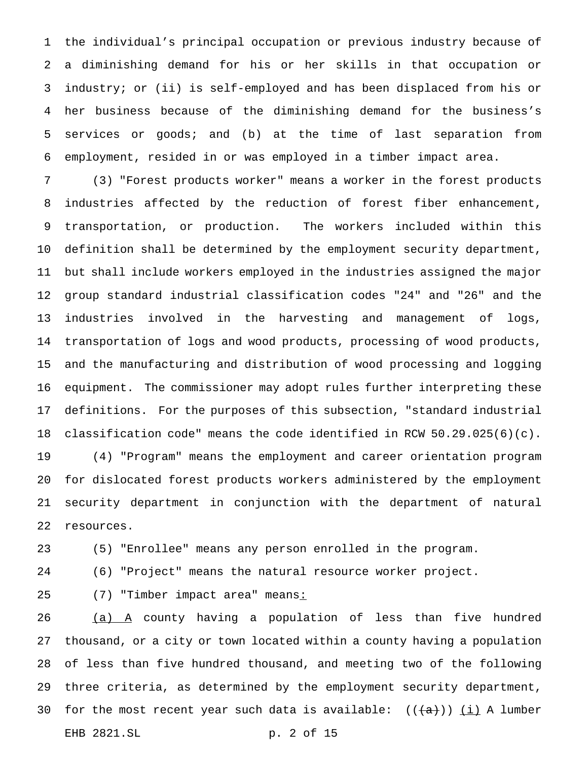the individual's principal occupation or previous industry because of a diminishing demand for his or her skills in that occupation or industry; or (ii) is self-employed and has been displaced from his or her business because of the diminishing demand for the business's services or goods; and (b) at the time of last separation from employment, resided in or was employed in a timber impact area.

 (3) "Forest products worker" means a worker in the forest products industries affected by the reduction of forest fiber enhancement, transportation, or production. The workers included within this definition shall be determined by the employment security department, but shall include workers employed in the industries assigned the major group standard industrial classification codes "24" and "26" and the industries involved in the harvesting and management of logs, transportation of logs and wood products, processing of wood products, and the manufacturing and distribution of wood processing and logging equipment. The commissioner may adopt rules further interpreting these definitions. For the purposes of this subsection, "standard industrial classification code" means the code identified in RCW 50.29.025(6)(c). (4) "Program" means the employment and career orientation program for dislocated forest products workers administered by the employment

 security department in conjunction with the department of natural resources.

(5) "Enrollee" means any person enrolled in the program.

(6) "Project" means the natural resource worker project.

25 (7) "Timber impact area" means:

  $(a)$   $A$  county having a population of less than five hundred thousand, or a city or town located within a county having a population of less than five hundred thousand, and meeting two of the following three criteria, as determined by the employment security department, 30 for the most recent year such data is available:  $((+a))$  (i) A lumber EHB 2821.SL p. 2 of 15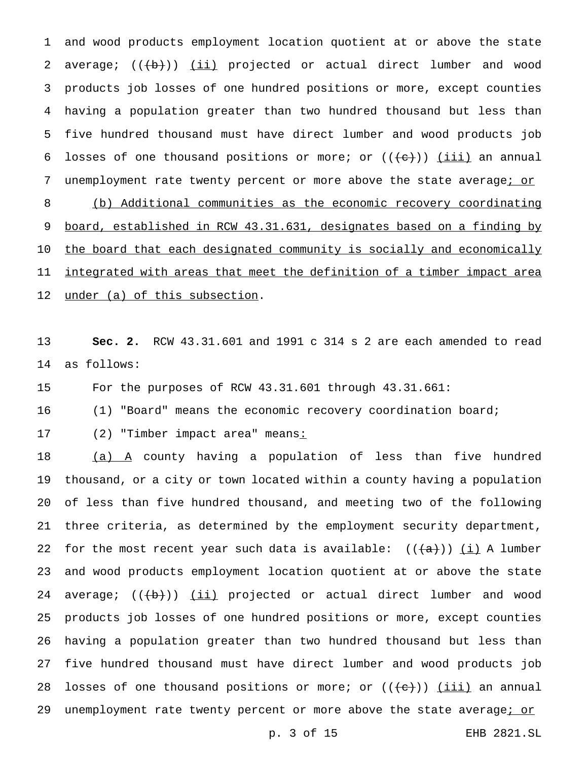and wood products employment location quotient at or above the state 2 average;  $((+b))$  (ii) projected or actual direct lumber and wood products job losses of one hundred positions or more, except counties having a population greater than two hundred thousand but less than five hundred thousand must have direct lumber and wood products job 6 losses of one thousand positions or more; or  $((+e))$  (iii) an annual 7 unemployment rate twenty percent or more above the state average; or (b) Additional communities as the economic recovery coordinating board, established in RCW 43.31.631, designates based on a finding by the board that each designated community is socially and economically integrated with areas that meet the definition of a timber impact area under (a) of this subsection.

 **Sec. 2.** RCW 43.31.601 and 1991 c 314 s 2 are each amended to read as follows:

For the purposes of RCW 43.31.601 through 43.31.661:

(1) "Board" means the economic recovery coordination board;

17 (2) "Timber impact area" means:

 $(a)$   $A$  county having a population of less than five hundred thousand, or a city or town located within a county having a population of less than five hundred thousand, and meeting two of the following three criteria, as determined by the employment security department, 22 for the most recent year such data is available:  $((+a))$  (i) A lumber and wood products employment location quotient at or above the state 24 average;  $((+b))$  (ii) projected or actual direct lumber and wood products job losses of one hundred positions or more, except counties having a population greater than two hundred thousand but less than five hundred thousand must have direct lumber and wood products job 28 losses of one thousand positions or more; or  $((e+))$  (iii) an annual 29 unemployment rate twenty percent or more above the state average; or

p. 3 of 15 EHB 2821.SL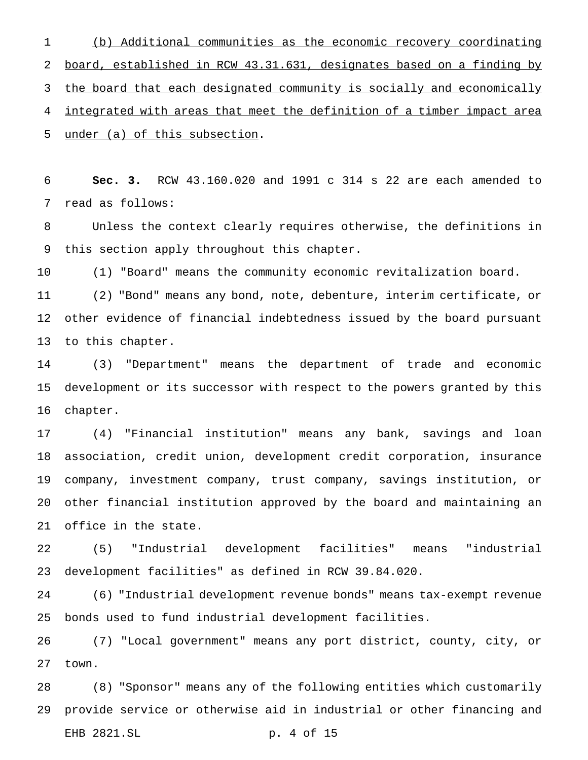(b) Additional communities as the economic recovery coordinating board, established in RCW 43.31.631, designates based on a finding by the board that each designated community is socially and economically integrated with areas that meet the definition of a timber impact area under (a) of this subsection.

 **Sec. 3.** RCW 43.160.020 and 1991 c 314 s 22 are each amended to read as follows:

 Unless the context clearly requires otherwise, the definitions in this section apply throughout this chapter.

(1) "Board" means the community economic revitalization board.

 (2) "Bond" means any bond, note, debenture, interim certificate, or other evidence of financial indebtedness issued by the board pursuant to this chapter.

 (3) "Department" means the department of trade and economic development or its successor with respect to the powers granted by this chapter.

 (4) "Financial institution" means any bank, savings and loan association, credit union, development credit corporation, insurance company, investment company, trust company, savings institution, or other financial institution approved by the board and maintaining an office in the state.

 (5) "Industrial development facilities" means "industrial development facilities" as defined in RCW 39.84.020.

 (6) "Industrial development revenue bonds" means tax-exempt revenue bonds used to fund industrial development facilities.

 (7) "Local government" means any port district, county, city, or town.

 (8) "Sponsor" means any of the following entities which customarily provide service or otherwise aid in industrial or other financing and EHB 2821.SL p. 4 of 15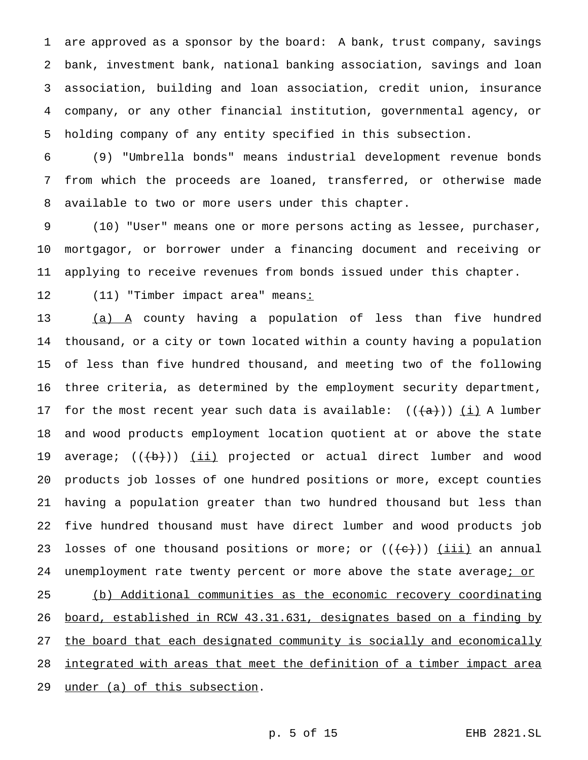are approved as a sponsor by the board: A bank, trust company, savings bank, investment bank, national banking association, savings and loan association, building and loan association, credit union, insurance company, or any other financial institution, governmental agency, or holding company of any entity specified in this subsection.

 (9) "Umbrella bonds" means industrial development revenue bonds from which the proceeds are loaned, transferred, or otherwise made available to two or more users under this chapter.

 (10) "User" means one or more persons acting as lessee, purchaser, mortgagor, or borrower under a financing document and receiving or applying to receive revenues from bonds issued under this chapter.

12 (11) "Timber impact area" means:

13 (a) A county having a population of less than five hundred thousand, or a city or town located within a county having a population of less than five hundred thousand, and meeting two of the following three criteria, as determined by the employment security department, 17 for the most recent year such data is available:  $((+a))$  (i) A lumber and wood products employment location quotient at or above the state 19 average;  $((+b))$  <u>(ii)</u> projected or actual direct lumber and wood products job losses of one hundred positions or more, except counties having a population greater than two hundred thousand but less than five hundred thousand must have direct lumber and wood products job 23 losses of one thousand positions or more; or  $((e+))$  (iii) an annual 24 unemployment rate twenty percent or more above the state average; or (b) Additional communities as the economic recovery coordinating board, established in RCW 43.31.631, designates based on a finding by

27 the board that each designated community is socially and economically

28 integrated with areas that meet the definition of a timber impact area

under (a) of this subsection.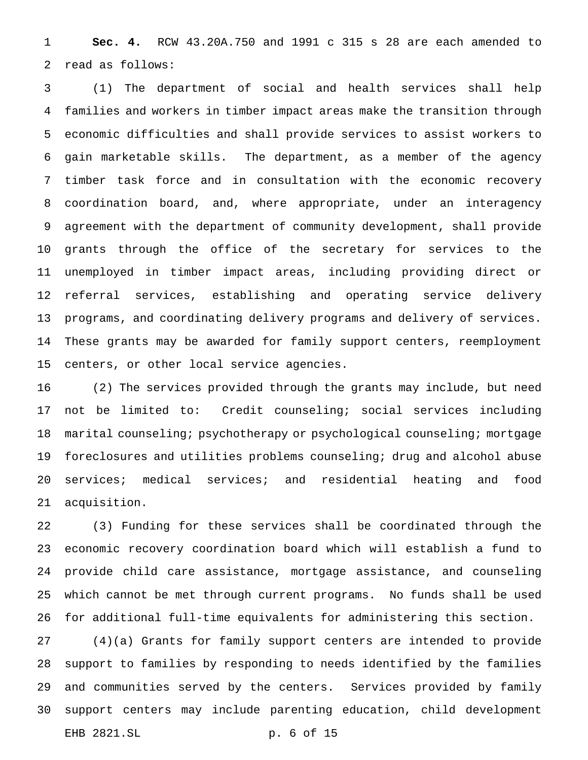**Sec. 4.** RCW 43.20A.750 and 1991 c 315 s 28 are each amended to read as follows:

 (1) The department of social and health services shall help families and workers in timber impact areas make the transition through economic difficulties and shall provide services to assist workers to gain marketable skills. The department, as a member of the agency timber task force and in consultation with the economic recovery coordination board, and, where appropriate, under an interagency agreement with the department of community development, shall provide grants through the office of the secretary for services to the unemployed in timber impact areas, including providing direct or referral services, establishing and operating service delivery programs, and coordinating delivery programs and delivery of services. These grants may be awarded for family support centers, reemployment centers, or other local service agencies.

 (2) The services provided through the grants may include, but need not be limited to: Credit counseling; social services including 18 marital counseling; psychotherapy or psychological counseling; mortgage foreclosures and utilities problems counseling; drug and alcohol abuse services; medical services; and residential heating and food acquisition.

 (3) Funding for these services shall be coordinated through the economic recovery coordination board which will establish a fund to provide child care assistance, mortgage assistance, and counseling which cannot be met through current programs. No funds shall be used for additional full-time equivalents for administering this section.

 (4)(a) Grants for family support centers are intended to provide support to families by responding to needs identified by the families and communities served by the centers. Services provided by family support centers may include parenting education, child development EHB 2821.SL p. 6 of 15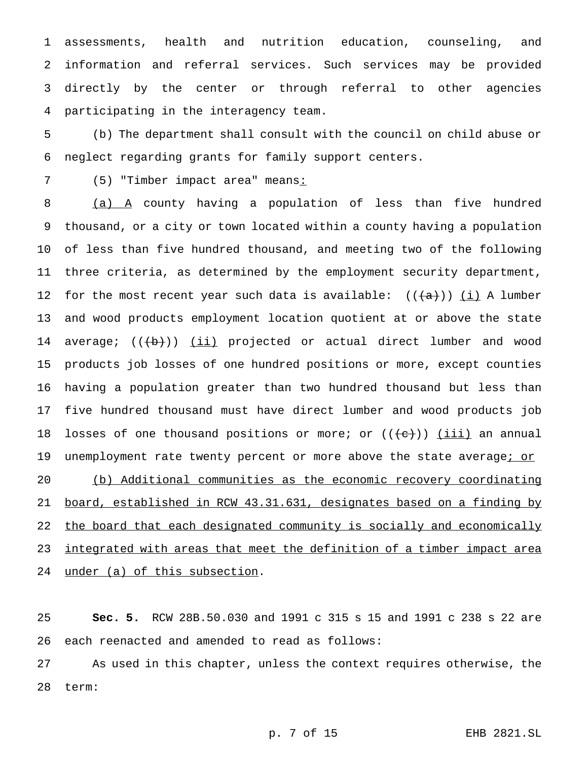assessments, health and nutrition education, counseling, and information and referral services. Such services may be provided directly by the center or through referral to other agencies participating in the interagency team.

 (b) The department shall consult with the council on child abuse or neglect regarding grants for family support centers.

7 (5) "Timber impact area" means:

 (a) A county having a population of less than five hundred thousand, or a city or town located within a county having a population of less than five hundred thousand, and meeting two of the following three criteria, as determined by the employment security department, 12 for the most recent year such data is available:  $((+a))$  (i) A lumber and wood products employment location quotient at or above the state 14 average;  $((+b))$  <u>(ii)</u> projected or actual direct lumber and wood products job losses of one hundred positions or more, except counties having a population greater than two hundred thousand but less than five hundred thousand must have direct lumber and wood products job 18 losses of one thousand positions or more; or  $((e+))$  (iii) an annual 19 unemployment rate twenty percent or more above the state average; or (b) Additional communities as the economic recovery coordinating board, established in RCW 43.31.631, designates based on a finding by 22 the board that each designated community is socially and economically 23 integrated with areas that meet the definition of a timber impact area 24 under (a) of this subsection.

 **Sec. 5.** RCW 28B.50.030 and 1991 c 315 s 15 and 1991 c 238 s 22 are each reenacted and amended to read as follows:

 As used in this chapter, unless the context requires otherwise, the term:

p. 7 of 15 EHB 2821.SL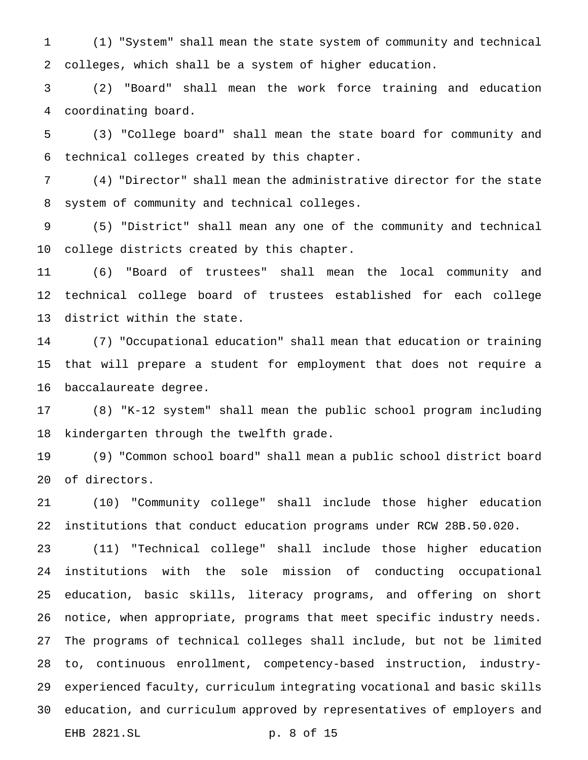(1) "System" shall mean the state system of community and technical colleges, which shall be a system of higher education.

 (2) "Board" shall mean the work force training and education coordinating board.

 (3) "College board" shall mean the state board for community and technical colleges created by this chapter.

 (4) "Director" shall mean the administrative director for the state system of community and technical colleges.

 (5) "District" shall mean any one of the community and technical college districts created by this chapter.

 (6) "Board of trustees" shall mean the local community and technical college board of trustees established for each college district within the state.

 (7) "Occupational education" shall mean that education or training that will prepare a student for employment that does not require a baccalaureate degree.

 (8) "K-12 system" shall mean the public school program including kindergarten through the twelfth grade.

 (9) "Common school board" shall mean a public school district board of directors.

 (10) "Community college" shall include those higher education institutions that conduct education programs under RCW 28B.50.020.

 (11) "Technical college" shall include those higher education institutions with the sole mission of conducting occupational education, basic skills, literacy programs, and offering on short notice, when appropriate, programs that meet specific industry needs. The programs of technical colleges shall include, but not be limited to, continuous enrollment, competency-based instruction, industry- experienced faculty, curriculum integrating vocational and basic skills education, and curriculum approved by representatives of employers and EHB 2821.SL p. 8 of 15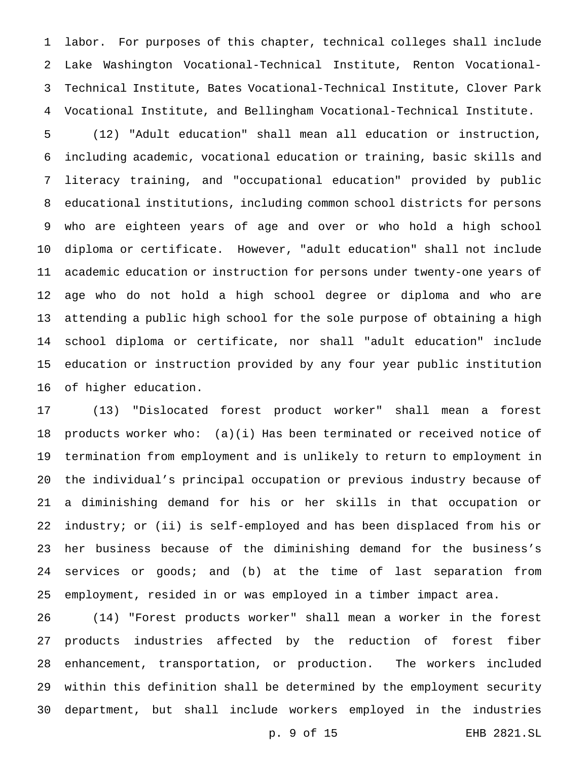labor. For purposes of this chapter, technical colleges shall include Lake Washington Vocational-Technical Institute, Renton Vocational- Technical Institute, Bates Vocational-Technical Institute, Clover Park Vocational Institute, and Bellingham Vocational-Technical Institute.

 (12) "Adult education" shall mean all education or instruction, including academic, vocational education or training, basic skills and literacy training, and "occupational education" provided by public educational institutions, including common school districts for persons who are eighteen years of age and over or who hold a high school diploma or certificate. However, "adult education" shall not include academic education or instruction for persons under twenty-one years of age who do not hold a high school degree or diploma and who are attending a public high school for the sole purpose of obtaining a high school diploma or certificate, nor shall "adult education" include education or instruction provided by any four year public institution of higher education.

 (13) "Dislocated forest product worker" shall mean a forest products worker who: (a)(i) Has been terminated or received notice of termination from employment and is unlikely to return to employment in the individual's principal occupation or previous industry because of a diminishing demand for his or her skills in that occupation or industry; or (ii) is self-employed and has been displaced from his or her business because of the diminishing demand for the business's services or goods; and (b) at the time of last separation from employment, resided in or was employed in a timber impact area.

 (14) "Forest products worker" shall mean a worker in the forest products industries affected by the reduction of forest fiber enhancement, transportation, or production. The workers included within this definition shall be determined by the employment security department, but shall include workers employed in the industries

p. 9 of 15 EHB 2821.SL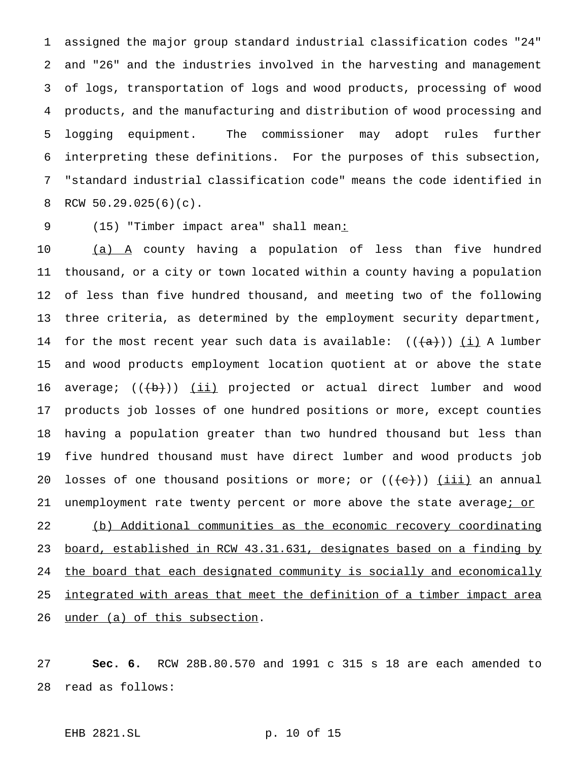assigned the major group standard industrial classification codes "24" and "26" and the industries involved in the harvesting and management of logs, transportation of logs and wood products, processing of wood products, and the manufacturing and distribution of wood processing and logging equipment. The commissioner may adopt rules further interpreting these definitions. For the purposes of this subsection, "standard industrial classification code" means the code identified in RCW 50.29.025(6)(c).

9 (15) "Timber impact area" shall mean:

10 (a) A county having a population of less than five hundred thousand, or a city or town located within a county having a population of less than five hundred thousand, and meeting two of the following three criteria, as determined by the employment security department, 14 for the most recent year such data is available:  $((+a+))$  (i) A lumber and wood products employment location quotient at or above the state 16 average;  $((+b))$  <u>(ii)</u> projected or actual direct lumber and wood products job losses of one hundred positions or more, except counties having a population greater than two hundred thousand but less than five hundred thousand must have direct lumber and wood products job 20 losses of one thousand positions or more; or  $((e+))$  (iii) an annual 21 unemployment rate twenty percent or more above the state average; or (b) Additional communities as the economic recovery coordinating board, established in RCW 43.31.631, designates based on a finding by 24 the board that each designated community is socially and economically 25 <u>integrated with areas that meet the definition of a timber impact area</u> under (a) of this subsection.

 **Sec. 6.** RCW 28B.80.570 and 1991 c 315 s 18 are each amended to read as follows:

EHB 2821.SL p. 10 of 15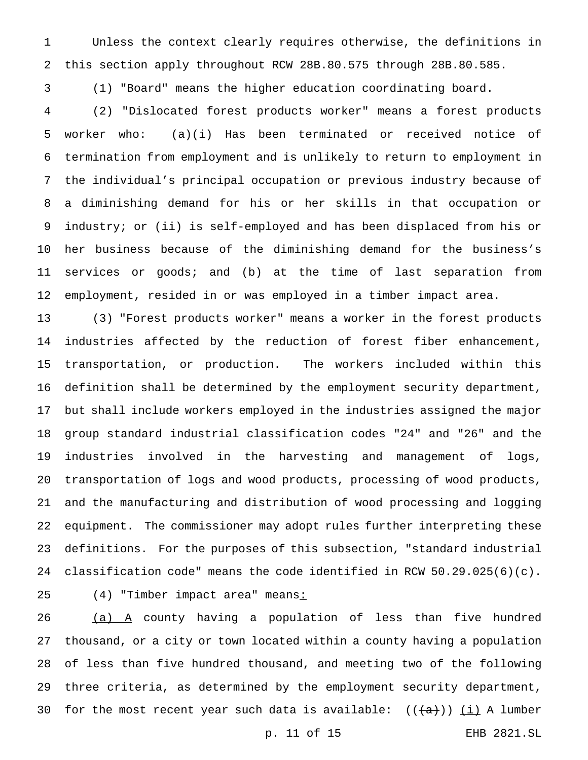Unless the context clearly requires otherwise, the definitions in this section apply throughout RCW 28B.80.575 through 28B.80.585.

(1) "Board" means the higher education coordinating board.

 (2) "Dislocated forest products worker" means a forest products worker who: (a)(i) Has been terminated or received notice of termination from employment and is unlikely to return to employment in the individual's principal occupation or previous industry because of a diminishing demand for his or her skills in that occupation or industry; or (ii) is self-employed and has been displaced from his or her business because of the diminishing demand for the business's services or goods; and (b) at the time of last separation from employment, resided in or was employed in a timber impact area.

 (3) "Forest products worker" means a worker in the forest products industries affected by the reduction of forest fiber enhancement, transportation, or production. The workers included within this definition shall be determined by the employment security department, but shall include workers employed in the industries assigned the major group standard industrial classification codes "24" and "26" and the industries involved in the harvesting and management of logs, transportation of logs and wood products, processing of wood products, and the manufacturing and distribution of wood processing and logging equipment. The commissioner may adopt rules further interpreting these definitions. For the purposes of this subsection, "standard industrial classification code" means the code identified in RCW 50.29.025(6)(c).

25 (4) "Timber impact area" means:

  $(a)$   $A$  county having a population of less than five hundred thousand, or a city or town located within a county having a population of less than five hundred thousand, and meeting two of the following three criteria, as determined by the employment security department, 30 for the most recent year such data is available:  $((+a+))$  (i) A lumber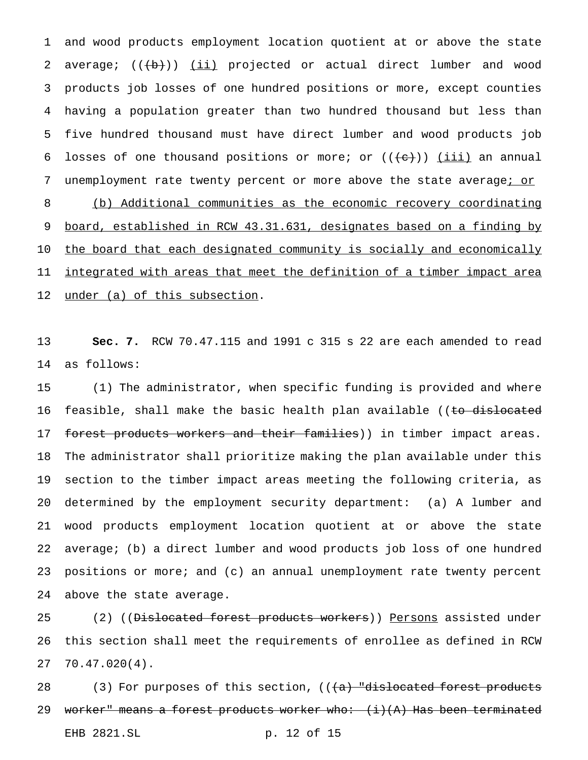and wood products employment location quotient at or above the state 2 average;  $((+b))$   $(i)$  projected or actual direct lumber and wood products job losses of one hundred positions or more, except counties having a population greater than two hundred thousand but less than five hundred thousand must have direct lumber and wood products job 6 losses of one thousand positions or more; or  $((+e))$  (iii) an annual 7 unemployment rate twenty percent or more above the state average; or (b) Additional communities as the economic recovery coordinating board, established in RCW 43.31.631, designates based on a finding by the board that each designated community is socially and economically 11 integrated with areas that meet the definition of a timber impact area 12 under (a) of this subsection.

 **Sec. 7.** RCW 70.47.115 and 1991 c 315 s 22 are each amended to read as follows:

 (1) The administrator, when specific funding is provided and where 16 feasible, shall make the basic health plan available ((to dislocated 17 forest products workers and their families)) in timber impact areas. The administrator shall prioritize making the plan available under this section to the timber impact areas meeting the following criteria, as determined by the employment security department: (a) A lumber and wood products employment location quotient at or above the state average; (b) a direct lumber and wood products job loss of one hundred positions or more; and (c) an annual unemployment rate twenty percent above the state average.

25 (2) ((<del>Dislocated forest products workers</del>)) Persons assisted under this section shall meet the requirements of enrollee as defined in RCW 70.47.020(4).

28 (3) For purposes of this section,  $((a)$  "dislocated forest products 29 worker" means a forest products worker who: (i)(A) Has been terminated EHB 2821.SL p. 12 of 15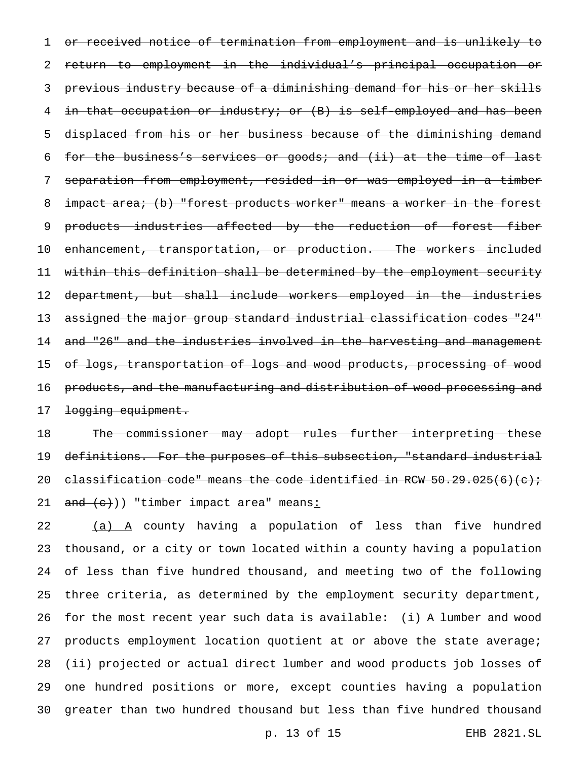1 or received notice of termination from employment and is unlikely to 2 return to employment in the individual's principal occupation or 3 previous industry because of a diminishing demand for his or her skills 4 in that occupation or industry; or (B) is self-employed and has been 5 displaced from his or her business because of the diminishing demand 6 for the business's services or goods; and (ii) at the time of last 7 separation from employment, resided in or was employed in a timber 8 impact area; (b) "forest products worker" means a worker in the forest 9 products industries affected by the reduction of forest fiber 10 enhancement, transportation, or production. The workers included 11 within this definition shall be determined by the employment security 12 department, but shall include workers employed in the industries 13 a<del>ssigned the major group standard industrial classification codes "24"</del> 14 and "26" and the industries involved in the harvesting and management 15 of logs, transportation of logs and wood products, processing of wood 16 products, and the manufacturing and distribution of wood processing and 17 <del>logging equipment.</del>

18 The commissioner may adopt rules further interpreting these 19 definitions. For the purposes of this subsection, "standard industrial 20 classification code" means the code identified in RCW  $50.29.025(6)(c)$ ; 21  $\text{and}$   $\text{c})$ ) "timber impact area" means:

22 (a) A county having a population of less than five hundred thousand, or a city or town located within a county having a population of less than five hundred thousand, and meeting two of the following three criteria, as determined by the employment security department, for the most recent year such data is available: (i) A lumber and wood products employment location quotient at or above the state average; (ii) projected or actual direct lumber and wood products job losses of one hundred positions or more, except counties having a population greater than two hundred thousand but less than five hundred thousand

p. 13 of 15 EHB 2821.SL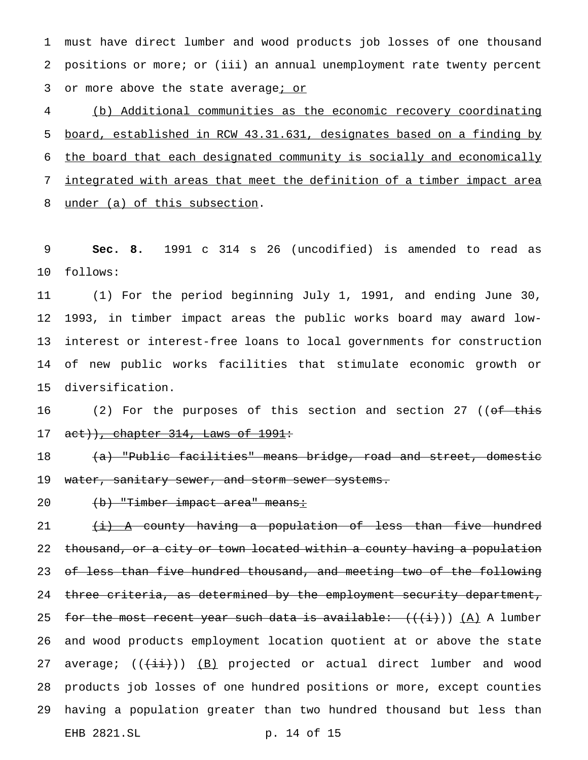must have direct lumber and wood products job losses of one thousand positions or more; or (iii) an annual unemployment rate twenty percent 3 or more above the state average; or

 (b) Additional communities as the economic recovery coordinating board, established in RCW 43.31.631, designates based on a finding by the board that each designated community is socially and economically integrated with areas that meet the definition of a timber impact area under (a) of this subsection.

 **Sec. 8.** 1991 c 314 s 26 (uncodified) is amended to read as follows:

 (1) For the period beginning July 1, 1991, and ending June 30, 1993, in timber impact areas the public works board may award low- interest or interest-free loans to local governments for construction of new public works facilities that stimulate economic growth or diversification.

16 (2) For the purposes of this section and section 27 ((of this 17  $act)$ , chapter 314, Laws of 1991:

18 (a) "Public facilities" means bridge, road and street, domestic 19 water, sanitary sewer, and storm sewer systems.

20 (b) "Timber impact area" means:

 $\{i\}$  A county having a population of less than five hundred 22 thousand, or a city or town located within a county having a population of less than five hundred thousand, and meeting two of the following 24 three criteria, as determined by the employment security department, 25 for the most recent year such data is available:  $((i))$  (A) A lumber and wood products employment location quotient at or above the state 27 average;  $((+i+))$   $(B)$  projected or actual direct lumber and wood products job losses of one hundred positions or more, except counties having a population greater than two hundred thousand but less than EHB 2821.SL p. 14 of 15